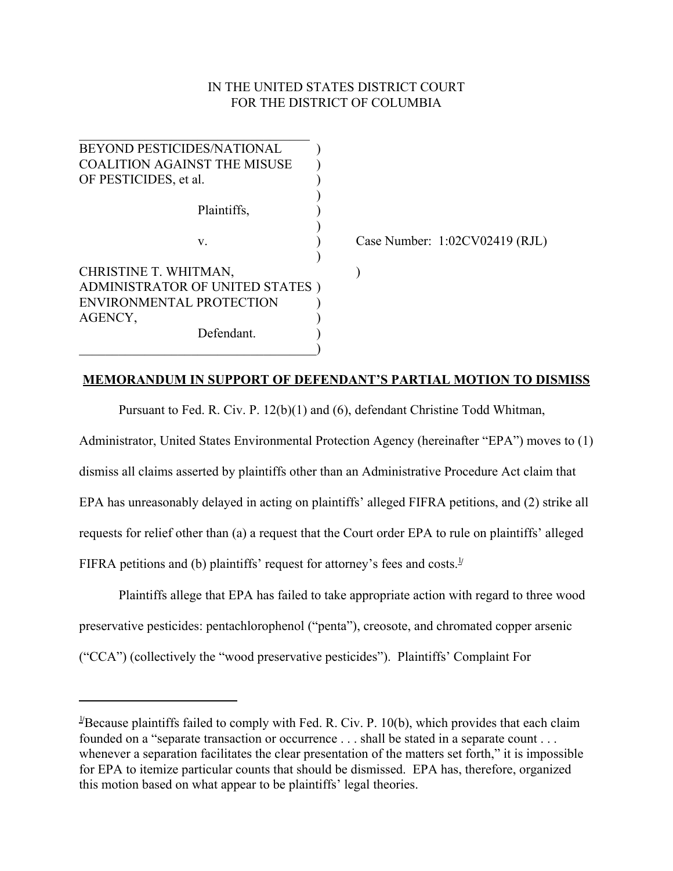# IN THE UNITED STATES DISTRICT COURT FOR THE DISTRICT OF COLUMBIA

| BEYOND PESTICIDES/NATIONAL          |                                |
|-------------------------------------|--------------------------------|
| <b>COALITION AGAINST THE MISUSE</b> |                                |
| OF PESTICIDES, et al.               |                                |
|                                     |                                |
| Plaintiffs,                         |                                |
|                                     |                                |
| V.                                  | Case Number: 1:02CV02419 (RJL) |
|                                     |                                |
| CHRISTINE T. WHITMAN,               |                                |
| ADMINISTRATOR OF UNITED STATES)     |                                |
| ENVIRONMENTAL PROTECTION            |                                |
| AGENCY,                             |                                |
| Defendant.                          |                                |
|                                     |                                |

## **MEMORANDUM IN SUPPORT OF DEFENDANT'S PARTIAL MOTION TO DISMISS**

Pursuant to Fed. R. Civ. P. 12(b)(1) and (6), defendant Christine Todd Whitman,

Administrator, United States Environmental Protection Agency (hereinafter "EPA") moves to (1) dismiss all claims asserted by plaintiffs other than an Administrative Procedure Act claim that EPA has unreasonably delayed in acting on plaintiffs' alleged FIFRA petitions, and (2) strike all requests for relief other than (a) a request that the Court order EPA to rule on plaintiffs' alleged FIFRA petitions and (b) plaintiffs' request for attorney's fees and costs.<sup>1/</sup>

Plaintiffs allege that EPA has failed to take appropriate action with regard to three wood preservative pesticides: pentachlorophenol ("penta"), creosote, and chromated copper arsenic ("CCA") (collectively the "wood preservative pesticides"). Plaintiffs' Complaint For

<sup>&</sup>lt;sup>1/</sup>Because plaintiffs failed to comply with Fed. R. Civ. P. 10(b), which provides that each claim founded on a "separate transaction or occurrence . . . shall be stated in a separate count . . . whenever a separation facilitates the clear presentation of the matters set forth," it is impossible for EPA to itemize particular counts that should be dismissed. EPA has, therefore, organized this motion based on what appear to be plaintiffs' legal theories.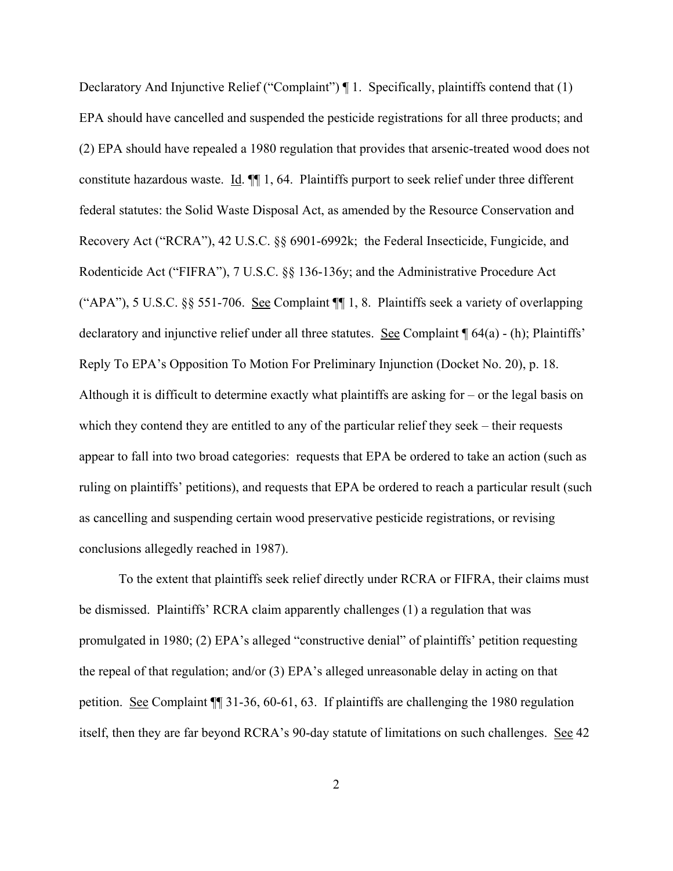Declaratory And Injunctive Relief ("Complaint") ¶ 1. Specifically, plaintiffs contend that (1) EPA should have cancelled and suspended the pesticide registrations for all three products; and (2) EPA should have repealed a 1980 regulation that provides that arsenic-treated wood does not constitute hazardous waste. Id. ¶¶ 1, 64. Plaintiffs purport to seek relief under three different federal statutes: the Solid Waste Disposal Act, as amended by the Resource Conservation and Recovery Act ("RCRA"), 42 U.S.C. §§ 6901-6992k; the Federal Insecticide, Fungicide, and Rodenticide Act ("FIFRA"), 7 U.S.C. §§ 136-136y; and the Administrative Procedure Act ("APA"), 5 U.S.C. §§ 551-706. See Complaint ¶¶ 1, 8. Plaintiffs seek a variety of overlapping declaratory and injunctive relief under all three statutes. See Complaint ¶ 64(a) - (h); Plaintiffs' Reply To EPA's Opposition To Motion For Preliminary Injunction (Docket No. 20), p. 18. Although it is difficult to determine exactly what plaintiffs are asking for – or the legal basis on which they contend they are entitled to any of the particular relief they seek – their requests appear to fall into two broad categories: requests that EPA be ordered to take an action (such as ruling on plaintiffs' petitions), and requests that EPA be ordered to reach a particular result (such as cancelling and suspending certain wood preservative pesticide registrations, or revising conclusions allegedly reached in 1987).

To the extent that plaintiffs seek relief directly under RCRA or FIFRA, their claims must be dismissed. Plaintiffs' RCRA claim apparently challenges (1) a regulation that was promulgated in 1980; (2) EPA's alleged "constructive denial" of plaintiffs' petition requesting the repeal of that regulation; and/or (3) EPA's alleged unreasonable delay in acting on that petition. See Complaint ¶¶ 31-36, 60-61, 63. If plaintiffs are challenging the 1980 regulation itself, then they are far beyond RCRA's 90-day statute of limitations on such challenges. See 42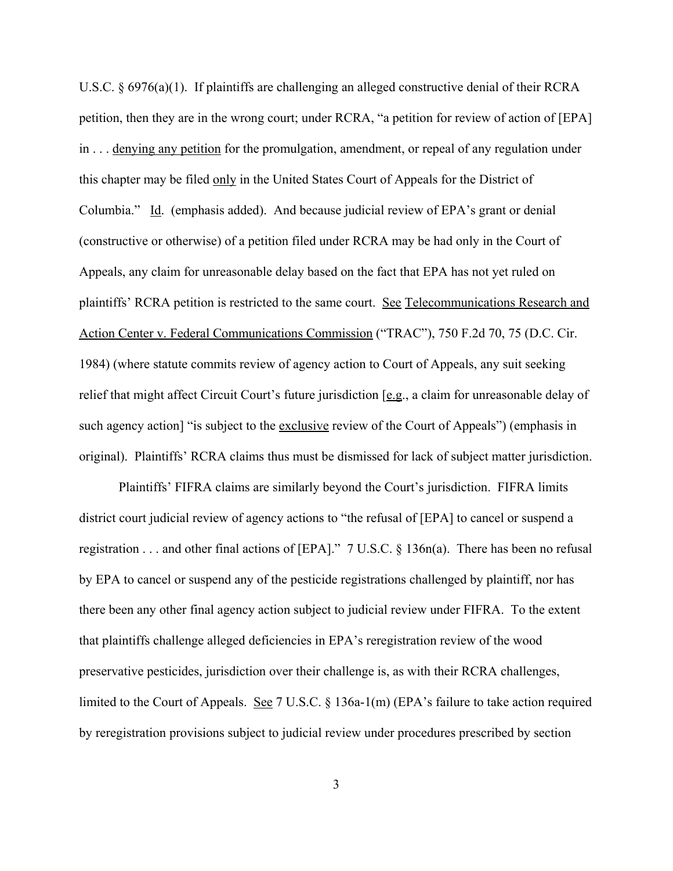U.S.C. § 6976(a)(1). If plaintiffs are challenging an alleged constructive denial of their RCRA petition, then they are in the wrong court; under RCRA, "a petition for review of action of [EPA] in . . . denying any petition for the promulgation, amendment, or repeal of any regulation under this chapter may be filed only in the United States Court of Appeals for the District of Columbia." Id. (emphasis added). And because judicial review of EPA's grant or denial (constructive or otherwise) of a petition filed under RCRA may be had only in the Court of Appeals, any claim for unreasonable delay based on the fact that EPA has not yet ruled on plaintiffs' RCRA petition is restricted to the same court. See Telecommunications Research and Action Center v. Federal Communications Commission ("TRAC"), 750 F.2d 70, 75 (D.C. Cir. 1984) (where statute commits review of agency action to Court of Appeals, any suit seeking relief that might affect Circuit Court's future jurisdiction [e.g., a claim for unreasonable delay of such agency action] "is subject to the exclusive review of the Court of Appeals") (emphasis in original). Plaintiffs' RCRA claims thus must be dismissed for lack of subject matter jurisdiction.

Plaintiffs' FIFRA claims are similarly beyond the Court's jurisdiction. FIFRA limits district court judicial review of agency actions to "the refusal of [EPA] to cancel or suspend a registration . . . and other final actions of [EPA]." 7 U.S.C. § 136n(a). There has been no refusal by EPA to cancel or suspend any of the pesticide registrations challenged by plaintiff, nor has there been any other final agency action subject to judicial review under FIFRA. To the extent that plaintiffs challenge alleged deficiencies in EPA's reregistration review of the wood preservative pesticides, jurisdiction over their challenge is, as with their RCRA challenges, limited to the Court of Appeals. See 7 U.S.C. § 136a-1(m) (EPA's failure to take action required by reregistration provisions subject to judicial review under procedures prescribed by section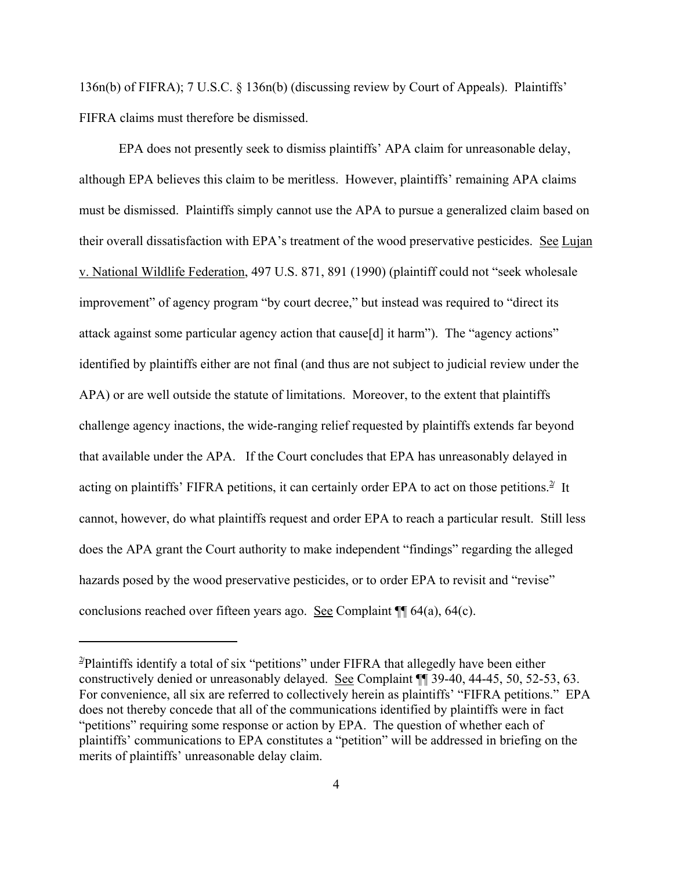136n(b) of FIFRA); 7 U.S.C. § 136n(b) (discussing review by Court of Appeals). Plaintiffs' FIFRA claims must therefore be dismissed.

EPA does not presently seek to dismiss plaintiffs' APA claim for unreasonable delay, although EPA believes this claim to be meritless. However, plaintiffs' remaining APA claims must be dismissed. Plaintiffs simply cannot use the APA to pursue a generalized claim based on their overall dissatisfaction with EPA's treatment of the wood preservative pesticides. See Lujan v. National Wildlife Federation, 497 U.S. 871, 891 (1990) (plaintiff could not "seek wholesale improvement" of agency program "by court decree," but instead was required to "direct its attack against some particular agency action that cause[d] it harm"). The "agency actions" identified by plaintiffs either are not final (and thus are not subject to judicial review under the APA) or are well outside the statute of limitations. Moreover, to the extent that plaintiffs challenge agency inactions, the wide-ranging relief requested by plaintiffs extends far beyond that available under the APA. If the Court concludes that EPA has unreasonably delayed in acting on plaintiffs' FIFRA petitions, it can certainly order EPA to act on those petitions.<sup>2</sup> It cannot, however, do what plaintiffs request and order EPA to reach a particular result. Still less does the APA grant the Court authority to make independent "findings" regarding the alleged hazards posed by the wood preservative pesticides, or to order EPA to revisit and "revise" conclusions reached over fifteen years ago. <u>See</u> Complaint  $\P$  64(a), 64(c).

<sup>&</sup>lt;sup>2</sup>Plaintiffs identify a total of six "petitions" under FIFRA that allegedly have been either constructively denied or unreasonably delayed. See Complaint ¶¶ 39-40, 44-45, 50, 52-53, 63. For convenience, all six are referred to collectively herein as plaintiffs' "FIFRA petitions." EPA does not thereby concede that all of the communications identified by plaintiffs were in fact "petitions" requiring some response or action by EPA. The question of whether each of plaintiffs' communications to EPA constitutes a "petition" will be addressed in briefing on the merits of plaintiffs' unreasonable delay claim.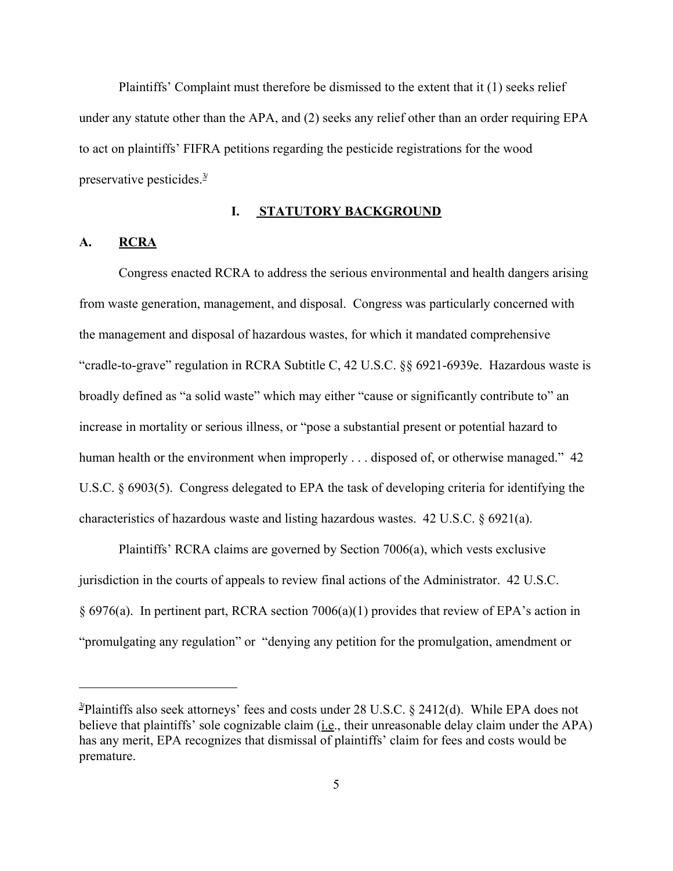Plaintiffs' Complaint must therefore be dismissed to the extent that it (1) seeks relief under any statute other than the APA, and (2) seeks any relief other than an order requiring EPA to act on plaintiffs' FIFRA petitions regarding the pesticide registrations for the wood preservative pesticides.<sup>3/</sup>

#### **I. STATUTORY BACKGROUND**

#### **A. RCRA**

Congress enacted RCRA to address the serious environmental and health dangers arising from waste generation, management, and disposal. Congress was particularly concerned with the management and disposal of hazardous wastes, for which it mandated comprehensive "cradle-to-grave" regulation in RCRA Subtitle C, 42 U.S.C. §§ 6921-6939e. Hazardous waste is broadly defined as "a solid waste" which may either "cause or significantly contribute to" an increase in mortality or serious illness, or "pose a substantial present or potential hazard to human health or the environment when improperly . . . disposed of, or otherwise managed." 42 U.S.C. § 6903(5). Congress delegated to EPA the task of developing criteria for identifying the characteristics of hazardous waste and listing hazardous wastes. 42 U.S.C. § 6921(a).

Plaintiffs' RCRA claims are governed by Section 7006(a), which vests exclusive jurisdiction in the courts of appeals to review final actions of the Administrator. 42 U.S.C. § 6976(a). In pertinent part, RCRA section 7006(a)(1) provides that review of EPA's action in "promulgating any regulation" or "denying any petition for the promulgation, amendment or

<sup>&</sup>lt;sup>3/</sup>Plaintiffs also seek attorneys' fees and costs under 28 U.S.C. § 2412(d). While EPA does not believe that plaintiffs' sole cognizable claim (i.e., their unreasonable delay claim under the APA) has any merit, EPA recognizes that dismissal of plaintiffs' claim for fees and costs would be premature.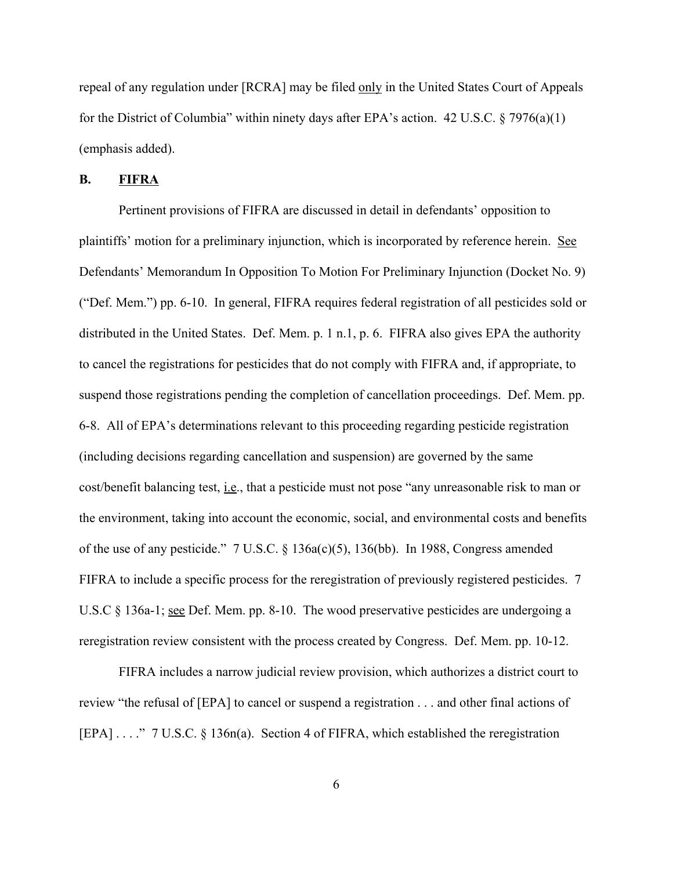repeal of any regulation under [RCRA] may be filed only in the United States Court of Appeals for the District of Columbia" within ninety days after EPA's action. 42 U.S.C. § 7976(a)(1) (emphasis added).

#### **B. FIFRA**

Pertinent provisions of FIFRA are discussed in detail in defendants' opposition to plaintiffs' motion for a preliminary injunction, which is incorporated by reference herein. See Defendants' Memorandum In Opposition To Motion For Preliminary Injunction (Docket No. 9) ("Def. Mem.") pp. 6-10. In general, FIFRA requires federal registration of all pesticides sold or distributed in the United States. Def. Mem. p. 1 n.1, p. 6. FIFRA also gives EPA the authority to cancel the registrations for pesticides that do not comply with FIFRA and, if appropriate, to suspend those registrations pending the completion of cancellation proceedings. Def. Mem. pp. 6-8. All of EPA's determinations relevant to this proceeding regarding pesticide registration (including decisions regarding cancellation and suspension) are governed by the same cost/benefit balancing test, i.e., that a pesticide must not pose "any unreasonable risk to man or the environment, taking into account the economic, social, and environmental costs and benefits of the use of any pesticide." 7 U.S.C. § 136a(c)(5), 136(bb). In 1988, Congress amended FIFRA to include a specific process for the reregistration of previously registered pesticides. 7 U.S.C § 136a-1; <u>see</u> Def. Mem. pp. 8-10. The wood preservative pesticides are undergoing a reregistration review consistent with the process created by Congress. Def. Mem. pp. 10-12.

FIFRA includes a narrow judicial review provision, which authorizes a district court to review "the refusal of [EPA] to cancel or suspend a registration . . . and other final actions of [EPA] . . . . " 7 U.S.C. § 136n(a). Section 4 of FIFRA, which established the reregistration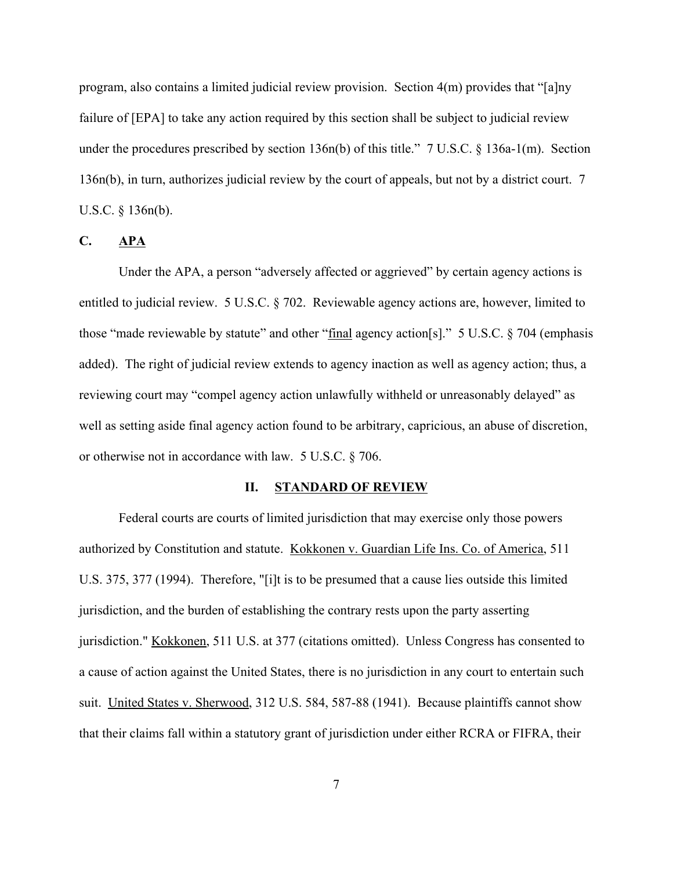program, also contains a limited judicial review provision. Section 4(m) provides that "[a]ny failure of [EPA] to take any action required by this section shall be subject to judicial review under the procedures prescribed by section 136n(b) of this title." 7 U.S.C. § 136a-1(m). Section 136n(b), in turn, authorizes judicial review by the court of appeals, but not by a district court. 7 U.S.C. § 136n(b).

#### **C. APA**

Under the APA, a person "adversely affected or aggrieved" by certain agency actions is entitled to judicial review. 5 U.S.C. § 702. Reviewable agency actions are, however, limited to those "made reviewable by statute" and other "final agency action[s]." 5 U.S.C. § 704 (emphasis added). The right of judicial review extends to agency inaction as well as agency action; thus, a reviewing court may "compel agency action unlawfully withheld or unreasonably delayed" as well as setting aside final agency action found to be arbitrary, capricious, an abuse of discretion, or otherwise not in accordance with law. 5 U.S.C. § 706.

#### **II. STANDARD OF REVIEW**

Federal courts are courts of limited jurisdiction that may exercise only those powers authorized by Constitution and statute. Kokkonen v. Guardian Life Ins. Co. of America, 511 U.S. 375, 377 (1994). Therefore, "[i]t is to be presumed that a cause lies outside this limited jurisdiction, and the burden of establishing the contrary rests upon the party asserting jurisdiction." Kokkonen, 511 U.S. at 377 (citations omitted). Unless Congress has consented to a cause of action against the United States, there is no jurisdiction in any court to entertain such suit. United States v. Sherwood, 312 U.S. 584, 587-88 (1941). Because plaintiffs cannot show that their claims fall within a statutory grant of jurisdiction under either RCRA or FIFRA, their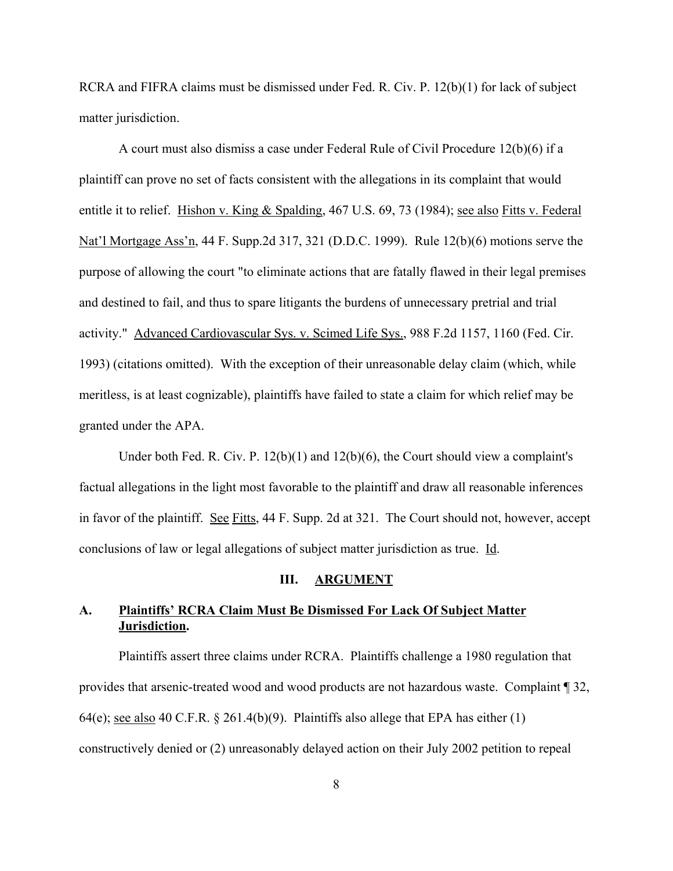RCRA and FIFRA claims must be dismissed under Fed. R. Civ. P. 12(b)(1) for lack of subject matter jurisdiction.

A court must also dismiss a case under Federal Rule of Civil Procedure 12(b)(6) if a plaintiff can prove no set of facts consistent with the allegations in its complaint that would entitle it to relief. Hishon v. King & Spalding, 467 U.S. 69, 73 (1984); see also Fitts v. Federal Nat'l Mortgage Ass'n, 44 F. Supp.2d 317, 321 (D.D.C. 1999). Rule 12(b)(6) motions serve the purpose of allowing the court "to eliminate actions that are fatally flawed in their legal premises and destined to fail, and thus to spare litigants the burdens of unnecessary pretrial and trial activity." Advanced Cardiovascular Sys. v. Scimed Life Sys., 988 F.2d 1157, 1160 (Fed. Cir. 1993) (citations omitted). With the exception of their unreasonable delay claim (which, while meritless, is at least cognizable), plaintiffs have failed to state a claim for which relief may be granted under the APA.

Under both Fed. R. Civ. P. 12(b)(1) and 12(b)(6), the Court should view a complaint's factual allegations in the light most favorable to the plaintiff and draw all reasonable inferences in favor of the plaintiff. See Fitts, 44 F. Supp. 2d at 321. The Court should not, however, accept conclusions of law or legal allegations of subject matter jurisdiction as true. Id.

#### **III. ARGUMENT**

# **A. Plaintiffs' RCRA Claim Must Be Dismissed For Lack Of Subject Matter Jurisdiction.**

Plaintiffs assert three claims under RCRA. Plaintiffs challenge a 1980 regulation that provides that arsenic-treated wood and wood products are not hazardous waste. Complaint ¶ 32, 64(e); see also 40 C.F.R.  $\S$  261.4(b)(9). Plaintiffs also allege that EPA has either (1) constructively denied or (2) unreasonably delayed action on their July 2002 petition to repeal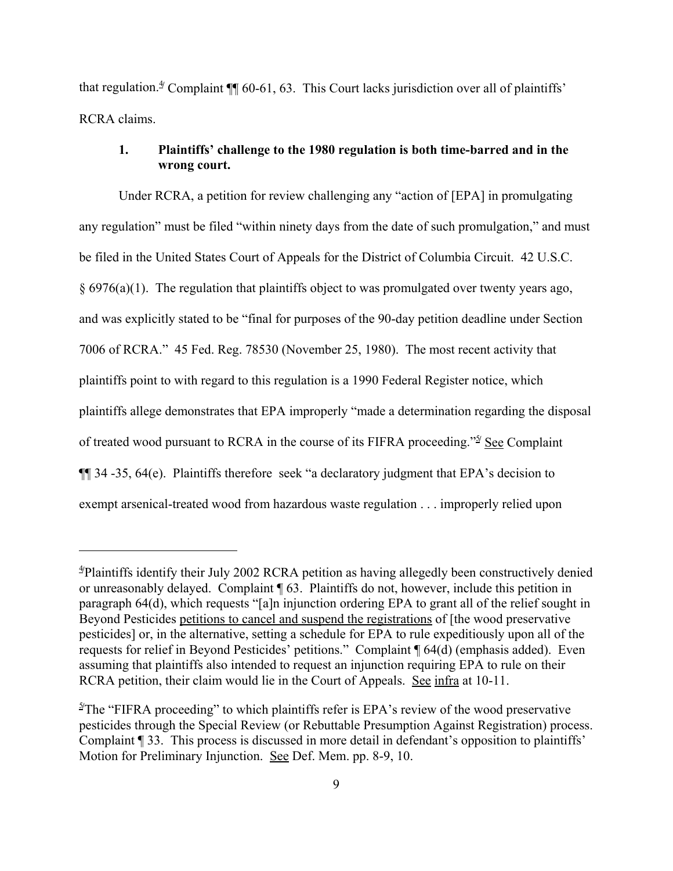that regulation.<sup>4</sup> Complaint ¶ 60-61, 63. This Court lacks jurisdiction over all of plaintiffs' RCRA claims.

## **1. Plaintiffs' challenge to the 1980 regulation is both time-barred and in the wrong court.**

Under RCRA, a petition for review challenging any "action of [EPA] in promulgating any regulation" must be filed "within ninety days from the date of such promulgation," and must be filed in the United States Court of Appeals for the District of Columbia Circuit. 42 U.S.C.  $§ 6976(a)(1)$ . The regulation that plaintiffs object to was promulgated over twenty years ago, and was explicitly stated to be "final for purposes of the 90-day petition deadline under Section 7006 of RCRA." 45 Fed. Reg. 78530 (November 25, 1980). The most recent activity that plaintiffs point to with regard to this regulation is a 1990 Federal Register notice, which plaintiffs allege demonstrates that EPA improperly "made a determination regarding the disposal of treated wood pursuant to RCRA in the course of its FIFRA proceeding."<sup>5/</sup> See Complaint ¶¶ 34 -35, 64(e). Plaintiffs therefore seek "a declaratory judgment that EPA's decision to exempt arsenical-treated wood from hazardous waste regulation . . . improperly relied upon

<sup>4</sup>**/** Plaintiffs identify their July 2002 RCRA petition as having allegedly been constructively denied or unreasonably delayed. Complaint ¶ 63. Plaintiffs do not, however, include this petition in paragraph 64(d), which requests "[a]n injunction ordering EPA to grant all of the relief sought in Beyond Pesticides petitions to cancel and suspend the registrations of [the wood preservative pesticides] or, in the alternative, setting a schedule for EPA to rule expeditiously upon all of the requests for relief in Beyond Pesticides' petitions." Complaint ¶ 64(d) (emphasis added). Even assuming that plaintiffs also intended to request an injunction requiring EPA to rule on their RCRA petition, their claim would lie in the Court of Appeals. See infra at 10-11.

<sup>&</sup>lt;sup>5/</sup>The "FIFRA proceeding" to which plaintiffs refer is EPA's review of the wood preservative pesticides through the Special Review (or Rebuttable Presumption Against Registration) process. Complaint ¶ 33. This process is discussed in more detail in defendant's opposition to plaintiffs' Motion for Preliminary Injunction. See Def. Mem. pp. 8-9, 10.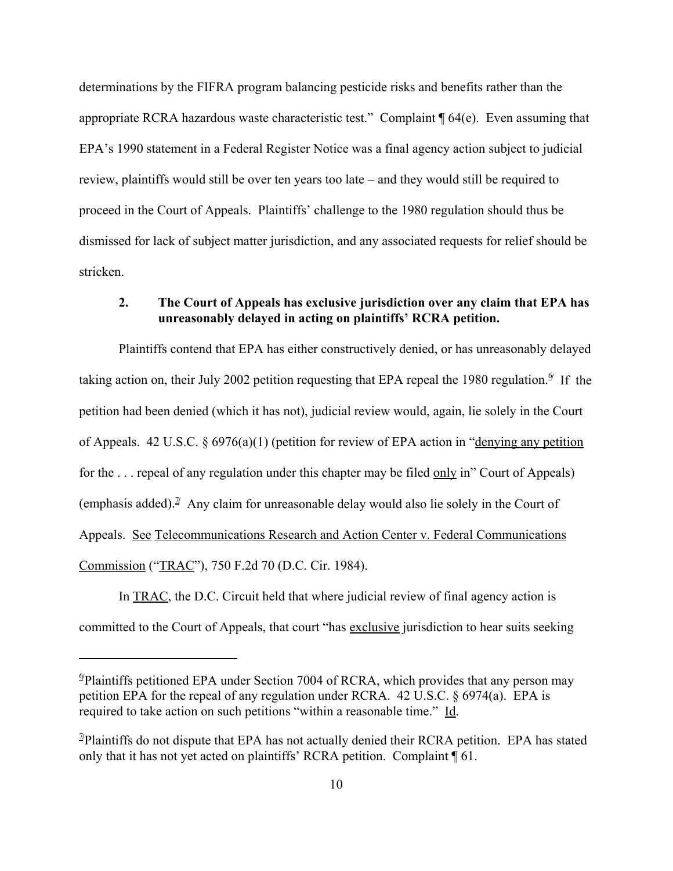determinations by the FIFRA program balancing pesticide risks and benefits rather than the appropriate RCRA hazardous waste characteristic test." Complaint ¶ 64(e). Even assuming that EPA's 1990 statement in a Federal Register Notice was a final agency action subject to judicial review, plaintiffs would still be over ten years too late – and they would still be required to proceed in the Court of Appeals. Plaintiffs' challenge to the 1980 regulation should thus be dismissed for lack of subject matter jurisdiction, and any associated requests for relief should be stricken.

# **2. The Court of Appeals has exclusive jurisdiction over any claim that EPA has unreasonably delayed in acting on plaintiffs' RCRA petition.**

Plaintiffs contend that EPA has either constructively denied, or has unreasonably delayed taking action on, their July 2002 petition requesting that EPA repeal the 1980 regulation.<sup>*I*</sup> If the petition had been denied (which it has not), judicial review would, again, lie solely in the Court of Appeals. 42 U.S.C. § 6976(a)(1) (petition for review of EPA action in "denying any petition for the . . . repeal of any regulation under this chapter may be filed only in" Court of Appeals) (emphasis added).<sup> $\mathbb{I}$ </sup> Any claim for unreasonable delay would also lie solely in the Court of Appeals. See Telecommunications Research and Action Center v. Federal Communications Commission ("TRAC"), 750 F.2d 70 (D.C. Cir. 1984).

In TRAC, the D.C. Circuit held that where judicial review of final agency action is committed to the Court of Appeals, that court "has exclusive jurisdiction to hear suits seeking

<sup>6</sup>**/** Plaintiffs petitioned EPA under Section 7004 of RCRA, which provides that any person may petition EPA for the repeal of any regulation under RCRA. 42 U.S.C. § 6974(a). EPA is required to take action on such petitions "within a reasonable time." Id.

<sup>&</sup>lt;sup>1</sup>/Plaintiffs do not dispute that EPA has not actually denied their RCRA petition. EPA has stated only that it has not yet acted on plaintiffs' RCRA petition. Complaint ¶ 61.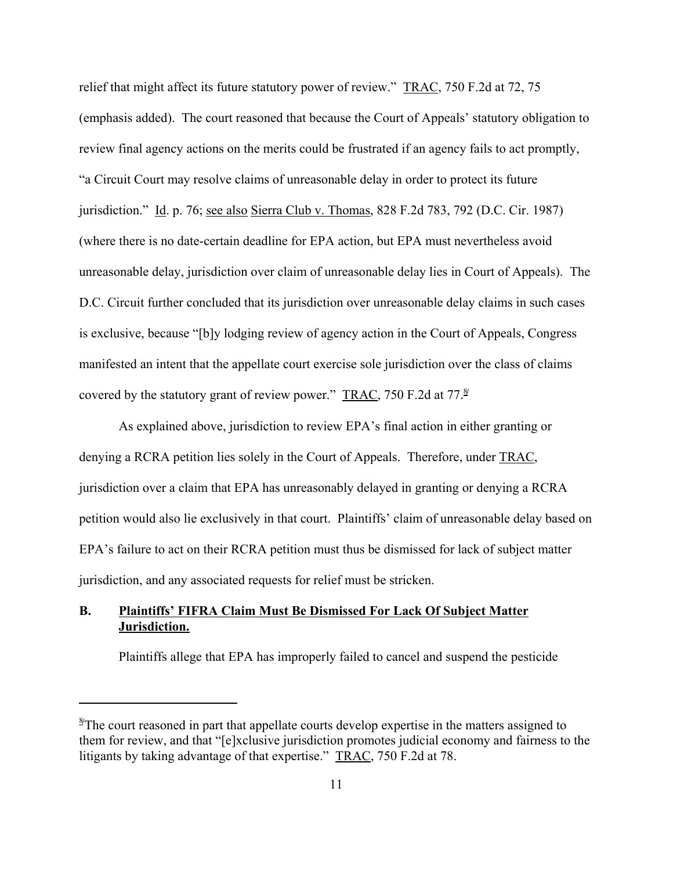relief that might affect its future statutory power of review." TRAC, 750 F.2d at 72, 75 (emphasis added). The court reasoned that because the Court of Appeals' statutory obligation to review final agency actions on the merits could be frustrated if an agency fails to act promptly, "a Circuit Court may resolve claims of unreasonable delay in order to protect its future jurisdiction." Id. p. 76; see also Sierra Club v. Thomas, 828 F.2d 783, 792 (D.C. Cir. 1987) (where there is no date-certain deadline for EPA action, but EPA must nevertheless avoid unreasonable delay, jurisdiction over claim of unreasonable delay lies in Court of Appeals). The D.C. Circuit further concluded that its jurisdiction over unreasonable delay claims in such cases is exclusive, because "[b]y lodging review of agency action in the Court of Appeals, Congress manifested an intent that the appellate court exercise sole jurisdiction over the class of claims covered by the statutory grant of review power." TRAC, 750 F.2d at 77. $\frac{8}{3}$ 

As explained above, jurisdiction to review EPA's final action in either granting or denying a RCRA petition lies solely in the Court of Appeals. Therefore, under TRAC, jurisdiction over a claim that EPA has unreasonably delayed in granting or denying a RCRA petition would also lie exclusively in that court. Plaintiffs' claim of unreasonable delay based on EPA's failure to act on their RCRA petition must thus be dismissed for lack of subject matter jurisdiction, and any associated requests for relief must be stricken.

# **B. Plaintiffs' FIFRA Claim Must Be Dismissed For Lack Of Subject Matter Jurisdiction.**

Plaintiffs allege that EPA has improperly failed to cancel and suspend the pesticide

<sup>&</sup>lt;sup>8</sup>The court reasoned in part that appellate courts develop expertise in the matters assigned to them for review, and that "[e]xclusive jurisdiction promotes judicial economy and fairness to the litigants by taking advantage of that expertise." TRAC, 750 F.2d at 78.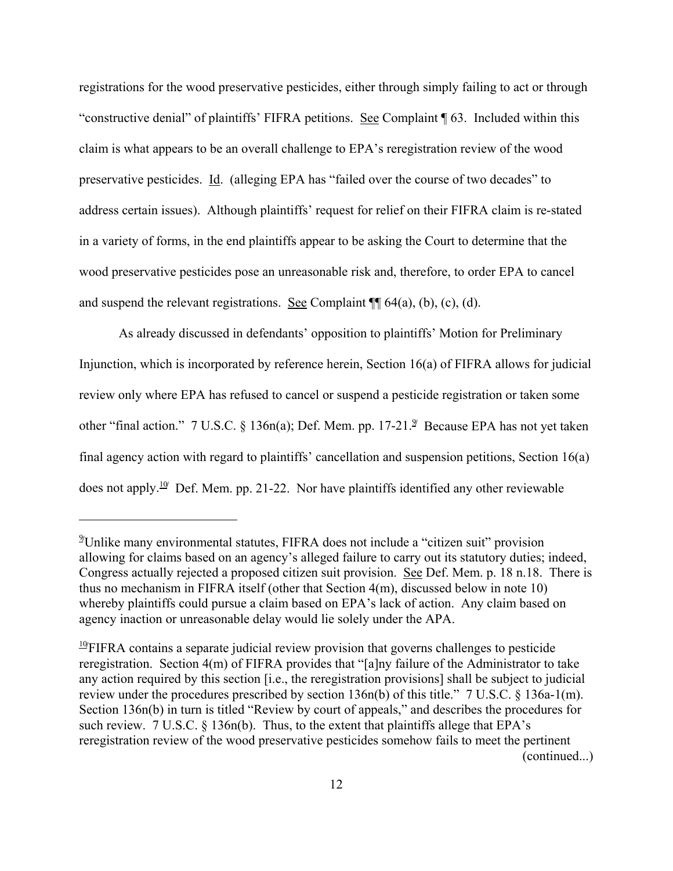registrations for the wood preservative pesticides, either through simply failing to act or through "constructive denial" of plaintiffs' FIFRA petitions. See Complaint ¶ 63. Included within this claim is what appears to be an overall challenge to EPA's reregistration review of the wood preservative pesticides. Id. (alleging EPA has "failed over the course of two decades" to address certain issues). Although plaintiffs' request for relief on their FIFRA claim is re-stated in a variety of forms, in the end plaintiffs appear to be asking the Court to determine that the wood preservative pesticides pose an unreasonable risk and, therefore, to order EPA to cancel and suspend the relevant registrations. See Complaint  $\P$  64(a), (b), (c), (d).

As already discussed in defendants' opposition to plaintiffs' Motion for Preliminary Injunction, which is incorporated by reference herein, Section 16(a) of FIFRA allows for judicial review only where EPA has refused to cancel or suspend a pesticide registration or taken some other "final action." 7 U.S.C. § 136n(a); Def. Mem. pp. 17-21.<sup>9</sup> Because EPA has not yet taken final agency action with regard to plaintiffs' cancellation and suspension petitions, Section 16(a) does not apply.<sup>10</sup> Def. Mem. pp. 21-22. Nor have plaintiffs identified any other reviewable

<sup>9</sup>**/** Unlike many environmental statutes, FIFRA does not include a "citizen suit" provision allowing for claims based on an agency's alleged failure to carry out its statutory duties; indeed, Congress actually rejected a proposed citizen suit provision. See Def. Mem. p. 18 n.18. There is thus no mechanism in FIFRA itself (other that Section 4(m), discussed below in note 10) whereby plaintiffs could pursue a claim based on EPA's lack of action. Any claim based on agency inaction or unreasonable delay would lie solely under the APA.

<sup>&</sup>lt;sup>10</sup> FIFRA contains a separate judicial review provision that governs challenges to pesticide reregistration. Section 4(m) of FIFRA provides that "[a]ny failure of the Administrator to take any action required by this section [i.e., the reregistration provisions] shall be subject to judicial review under the procedures prescribed by section 136n(b) of this title." 7 U.S.C. § 136a-1(m). Section 136n(b) in turn is titled "Review by court of appeals," and describes the procedures for such review. 7 U.S.C. § 136n(b). Thus, to the extent that plaintiffs allege that EPA's reregistration review of the wood preservative pesticides somehow fails to meet the pertinent (continued...)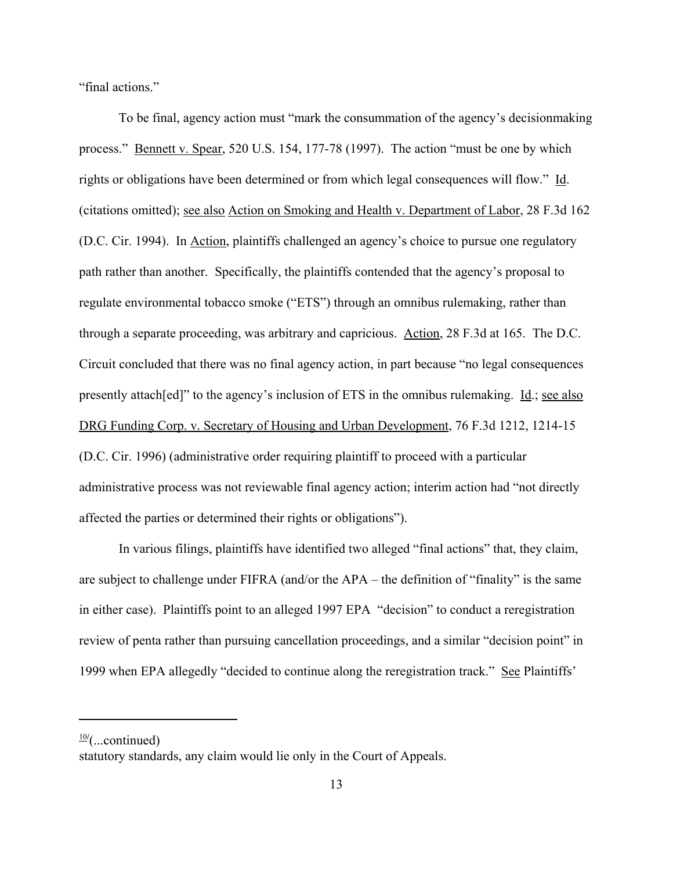"final actions."

To be final, agency action must "mark the consummation of the agency's decisionmaking process." Bennett v. Spear, 520 U.S. 154, 177-78 (1997). The action "must be one by which rights or obligations have been determined or from which legal consequences will flow." Id. (citations omitted); see also Action on Smoking and Health v. Department of Labor, 28 F.3d 162 (D.C. Cir. 1994). In Action, plaintiffs challenged an agency's choice to pursue one regulatory path rather than another. Specifically, the plaintiffs contended that the agency's proposal to regulate environmental tobacco smoke ("ETS") through an omnibus rulemaking, rather than through a separate proceeding, was arbitrary and capricious. Action, 28 F.3d at 165. The D.C. Circuit concluded that there was no final agency action, in part because "no legal consequences presently attach[ed]" to the agency's inclusion of ETS in the omnibus rulemaking. Id.; see also DRG Funding Corp. v. Secretary of Housing and Urban Development, 76 F.3d 1212, 1214-15 (D.C. Cir. 1996) (administrative order requiring plaintiff to proceed with a particular administrative process was not reviewable final agency action; interim action had "not directly affected the parties or determined their rights or obligations").

In various filings, plaintiffs have identified two alleged "final actions" that, they claim, are subject to challenge under FIFRA (and/or the APA – the definition of "finality" is the same in either case). Plaintiffs point to an alleged 1997 EPA "decision" to conduct a reregistration review of penta rather than pursuing cancellation proceedings, and a similar "decision point" in 1999 when EPA allegedly "decided to continue along the reregistration track." See Plaintiffs'

<sup>10</sup>**/** (...continued)

statutory standards, any claim would lie only in the Court of Appeals.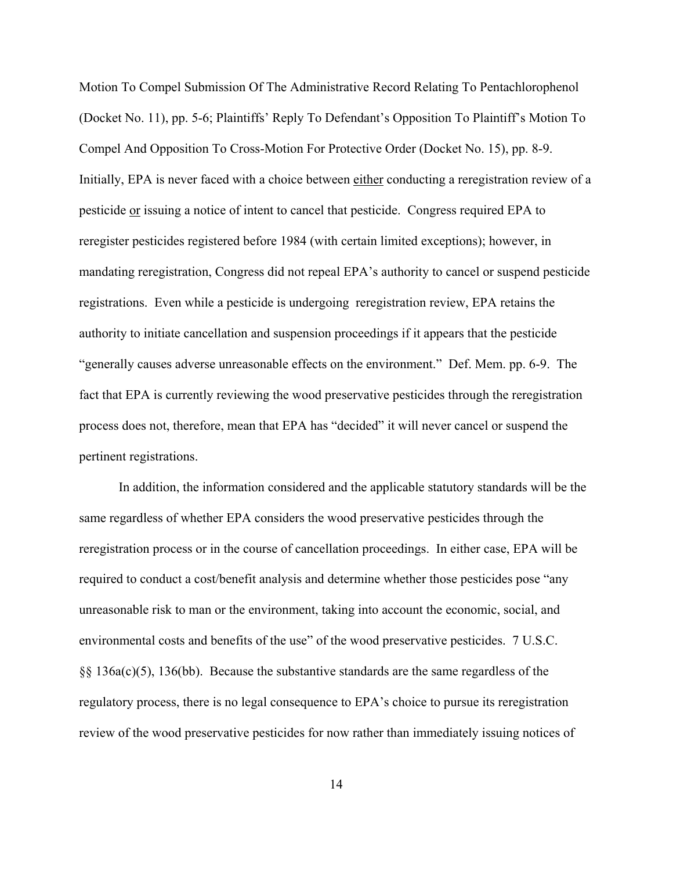Motion To Compel Submission Of The Administrative Record Relating To Pentachlorophenol (Docket No. 11), pp. 5-6; Plaintiffs' Reply To Defendant's Opposition To Plaintiff's Motion To Compel And Opposition To Cross-Motion For Protective Order (Docket No. 15), pp. 8-9. Initially, EPA is never faced with a choice between either conducting a reregistration review of a pesticide or issuing a notice of intent to cancel that pesticide. Congress required EPA to reregister pesticides registered before 1984 (with certain limited exceptions); however, in mandating reregistration, Congress did not repeal EPA's authority to cancel or suspend pesticide registrations. Even while a pesticide is undergoing reregistration review, EPA retains the authority to initiate cancellation and suspension proceedings if it appears that the pesticide "generally causes adverse unreasonable effects on the environment." Def. Mem. pp. 6-9. The fact that EPA is currently reviewing the wood preservative pesticides through the reregistration process does not, therefore, mean that EPA has "decided" it will never cancel or suspend the pertinent registrations.

In addition, the information considered and the applicable statutory standards will be the same regardless of whether EPA considers the wood preservative pesticides through the reregistration process or in the course of cancellation proceedings. In either case, EPA will be required to conduct a cost/benefit analysis and determine whether those pesticides pose "any unreasonable risk to man or the environment, taking into account the economic, social, and environmental costs and benefits of the use" of the wood preservative pesticides. 7 U.S.C. §§ 136a(c)(5), 136(bb). Because the substantive standards are the same regardless of the regulatory process, there is no legal consequence to EPA's choice to pursue its reregistration review of the wood preservative pesticides for now rather than immediately issuing notices of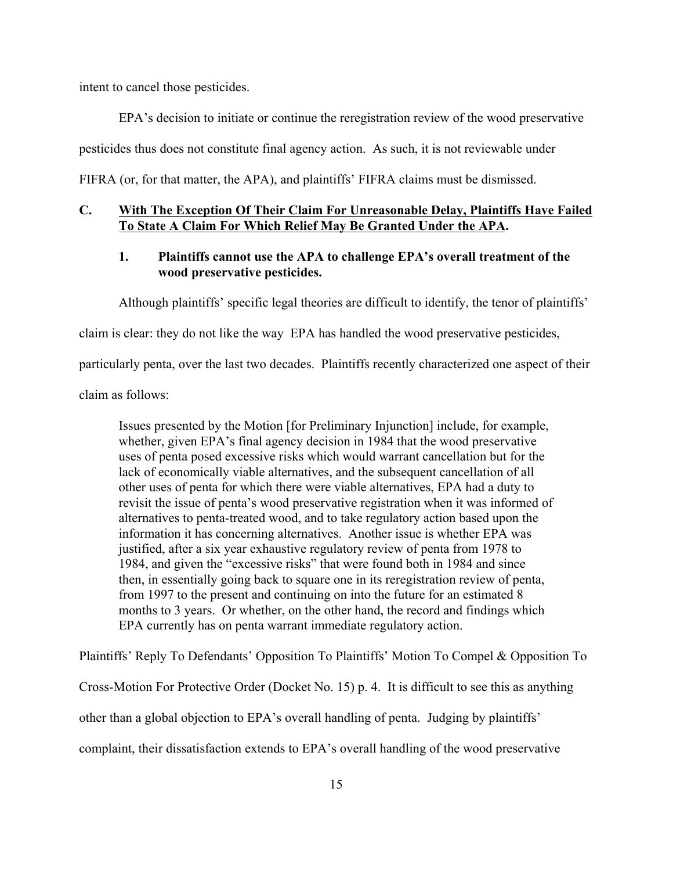intent to cancel those pesticides.

EPA's decision to initiate or continue the reregistration review of the wood preservative pesticides thus does not constitute final agency action. As such, it is not reviewable under FIFRA (or, for that matter, the APA), and plaintiffs' FIFRA claims must be dismissed.

## **C. With The Exception Of Their Claim For Unreasonable Delay, Plaintiffs Have Failed To State A Claim For Which Relief May Be Granted Under the APA.**

# **1. Plaintiffs cannot use the APA to challenge EPA's overall treatment of the wood preservative pesticides.**

Although plaintiffs' specific legal theories are difficult to identify, the tenor of plaintiffs'

claim is clear: they do not like the way EPA has handled the wood preservative pesticides,

particularly penta, over the last two decades. Plaintiffs recently characterized one aspect of their

claim as follows:

Issues presented by the Motion [for Preliminary Injunction] include, for example, whether, given EPA's final agency decision in 1984 that the wood preservative uses of penta posed excessive risks which would warrant cancellation but for the lack of economically viable alternatives, and the subsequent cancellation of all other uses of penta for which there were viable alternatives, EPA had a duty to revisit the issue of penta's wood preservative registration when it was informed of alternatives to penta-treated wood, and to take regulatory action based upon the information it has concerning alternatives. Another issue is whether EPA was justified, after a six year exhaustive regulatory review of penta from 1978 to 1984, and given the "excessive risks" that were found both in 1984 and since then, in essentially going back to square one in its reregistration review of penta, from 1997 to the present and continuing on into the future for an estimated 8 months to 3 years. Or whether, on the other hand, the record and findings which EPA currently has on penta warrant immediate regulatory action.

Plaintiffs' Reply To Defendants' Opposition To Plaintiffs' Motion To Compel & Opposition To

Cross-Motion For Protective Order (Docket No. 15) p. 4. It is difficult to see this as anything

other than a global objection to EPA's overall handling of penta. Judging by plaintiffs'

complaint, their dissatisfaction extends to EPA's overall handling of the wood preservative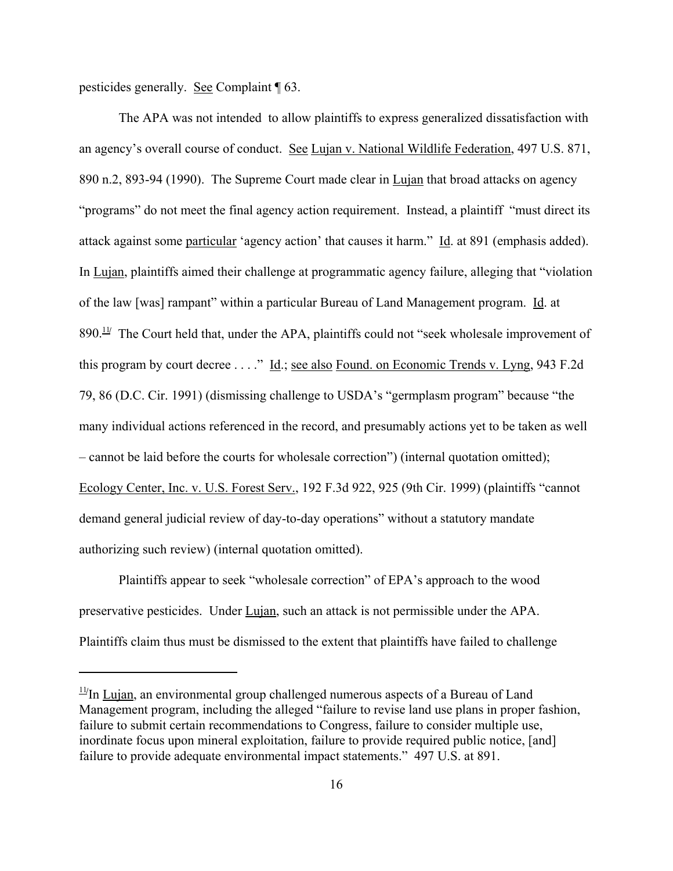pesticides generally. See Complaint ¶ 63.

The APA was not intended to allow plaintiffs to express generalized dissatisfaction with an agency's overall course of conduct. See Lujan v. National Wildlife Federation, 497 U.S. 871, 890 n.2, 893-94 (1990). The Supreme Court made clear in Lujan that broad attacks on agency "programs" do not meet the final agency action requirement. Instead, a plaintiff "must direct its attack against some particular 'agency action' that causes it harm." Id. at 891 (emphasis added). In Lujan, plaintiffs aimed their challenge at programmatic agency failure, alleging that "violation of the law [was] rampant" within a particular Bureau of Land Management program. Id. at 890.<sup>11/</sup> The Court held that, under the APA, plaintiffs could not "seek wholesale improvement of this program by court decree . . . ." Id.; see also Found. on Economic Trends v. Lyng, 943 F.2d 79, 86 (D.C. Cir. 1991) (dismissing challenge to USDA's "germplasm program" because "the many individual actions referenced in the record, and presumably actions yet to be taken as well – cannot be laid before the courts for wholesale correction") (internal quotation omitted); Ecology Center, Inc. v. U.S. Forest Serv., 192 F.3d 922, 925 (9th Cir. 1999) (plaintiffs "cannot demand general judicial review of day-to-day operations" without a statutory mandate authorizing such review) (internal quotation omitted).

Plaintiffs appear to seek "wholesale correction" of EPA's approach to the wood preservative pesticides. Under Lujan, such an attack is not permissible under the APA. Plaintiffs claim thus must be dismissed to the extent that plaintiffs have failed to challenge

<sup>&</sup>lt;sup>11/</sup>In Lujan, an environmental group challenged numerous aspects of a Bureau of Land Management program, including the alleged "failure to revise land use plans in proper fashion, failure to submit certain recommendations to Congress, failure to consider multiple use, inordinate focus upon mineral exploitation, failure to provide required public notice, [and] failure to provide adequate environmental impact statements." 497 U.S. at 891.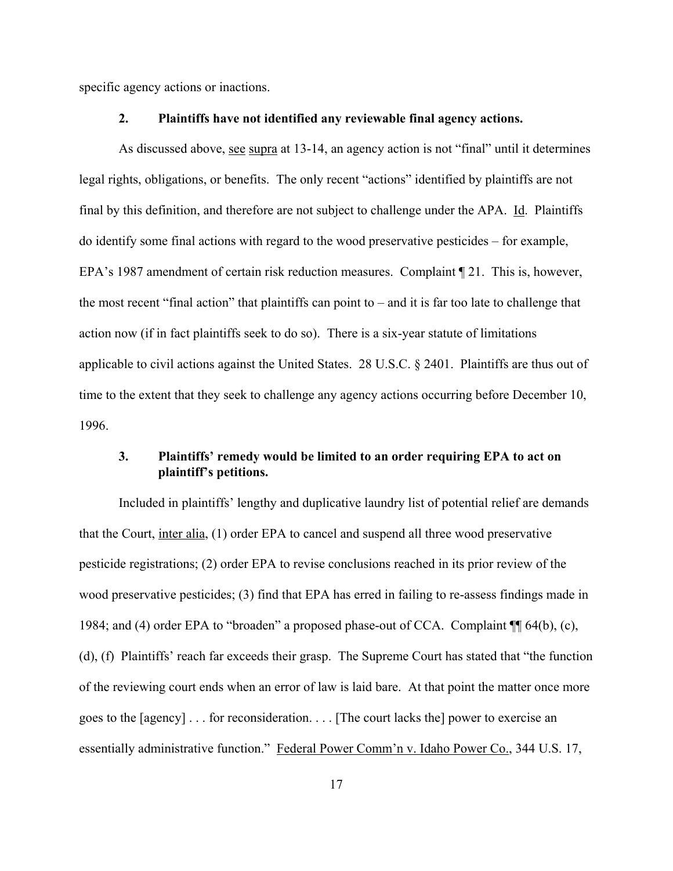specific agency actions or inactions.

#### **2. Plaintiffs have not identified any reviewable final agency actions.**

As discussed above, see supra at 13-14, an agency action is not "final" until it determines legal rights, obligations, or benefits. The only recent "actions" identified by plaintiffs are not final by this definition, and therefore are not subject to challenge under the APA. Id. Plaintiffs do identify some final actions with regard to the wood preservative pesticides – for example, EPA's 1987 amendment of certain risk reduction measures. Complaint ¶ 21. This is, however, the most recent "final action" that plaintiffs can point to – and it is far too late to challenge that action now (if in fact plaintiffs seek to do so). There is a six-year statute of limitations applicable to civil actions against the United States. 28 U.S.C. § 2401. Plaintiffs are thus out of time to the extent that they seek to challenge any agency actions occurring before December 10, 1996.

## **3. Plaintiffs' remedy would be limited to an order requiring EPA to act on plaintiff's petitions.**

Included in plaintiffs' lengthy and duplicative laundry list of potential relief are demands that the Court, inter alia, (1) order EPA to cancel and suspend all three wood preservative pesticide registrations; (2) order EPA to revise conclusions reached in its prior review of the wood preservative pesticides; (3) find that EPA has erred in failing to re-assess findings made in 1984; and (4) order EPA to "broaden" a proposed phase-out of CCA. Complaint ¶¶ 64(b), (c), (d), (f) Plaintiffs' reach far exceeds their grasp. The Supreme Court has stated that "the function of the reviewing court ends when an error of law is laid bare. At that point the matter once more goes to the [agency] . . . for reconsideration. . . . [The court lacks the] power to exercise an essentially administrative function." Federal Power Comm'n v. Idaho Power Co., 344 U.S. 17,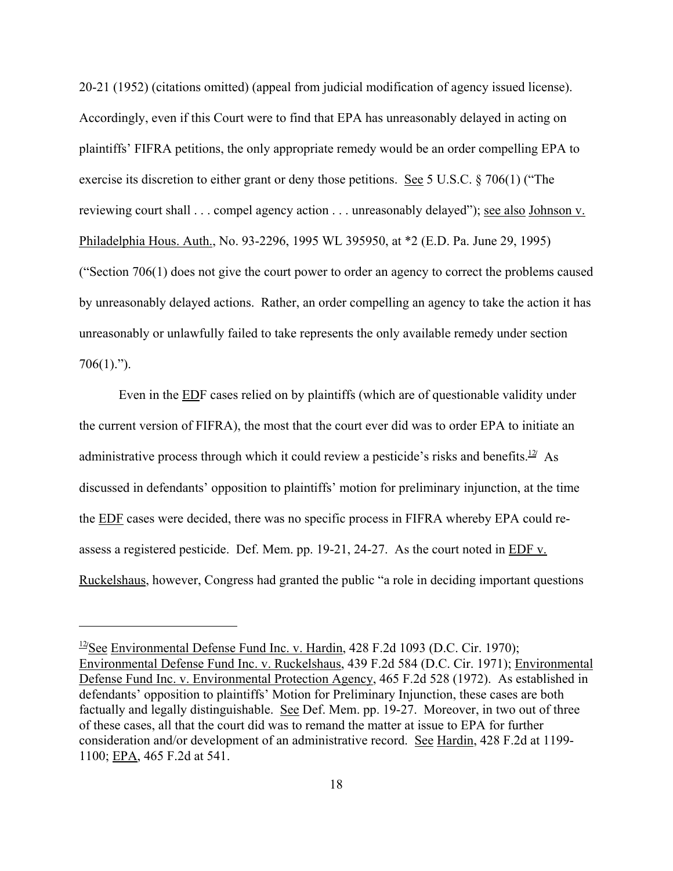20-21 (1952) (citations omitted) (appeal from judicial modification of agency issued license). Accordingly, even if this Court were to find that EPA has unreasonably delayed in acting on plaintiffs' FIFRA petitions, the only appropriate remedy would be an order compelling EPA to exercise its discretion to either grant or deny those petitions. <u>See</u> 5 U.S.C. § 706(1) ("The reviewing court shall . . . compel agency action . . . unreasonably delayed"); see also Johnson v. Philadelphia Hous. Auth., No. 93-2296, 1995 WL 395950, at \*2 (E.D. Pa. June 29, 1995) ("Section 706(1) does not give the court power to order an agency to correct the problems caused by unreasonably delayed actions. Rather, an order compelling an agency to take the action it has unreasonably or unlawfully failed to take represents the only available remedy under section  $706(1)$ .").

Even in the EDF cases relied on by plaintiffs (which are of questionable validity under the current version of FIFRA), the most that the court ever did was to order EPA to initiate an administrative process through which it could review a pesticide's risks and benefits.<sup>12</sup> As discussed in defendants' opposition to plaintiffs' motion for preliminary injunction, at the time the EDF cases were decided, there was no specific process in FIFRA whereby EPA could reassess a registered pesticide. Def. Mem. pp. 19-21, 24-27. As the court noted in EDF v. Ruckelshaus, however, Congress had granted the public "a role in deciding important questions

<sup>&</sup>lt;sup>12</sup>/See Environmental Defense Fund Inc. v. Hardin, 428 F.2d 1093 (D.C. Cir. 1970); Environmental Defense Fund Inc. v. Ruckelshaus, 439 F.2d 584 (D.C. Cir. 1971); Environmental Defense Fund Inc. v. Environmental Protection Agency, 465 F.2d 528 (1972). As established in defendants' opposition to plaintiffs' Motion for Preliminary Injunction, these cases are both factually and legally distinguishable. See Def. Mem. pp. 19-27. Moreover, in two out of three of these cases, all that the court did was to remand the matter at issue to EPA for further consideration and/or development of an administrative record. See Hardin, 428 F.2d at 1199- 1100; EPA, 465 F.2d at 541.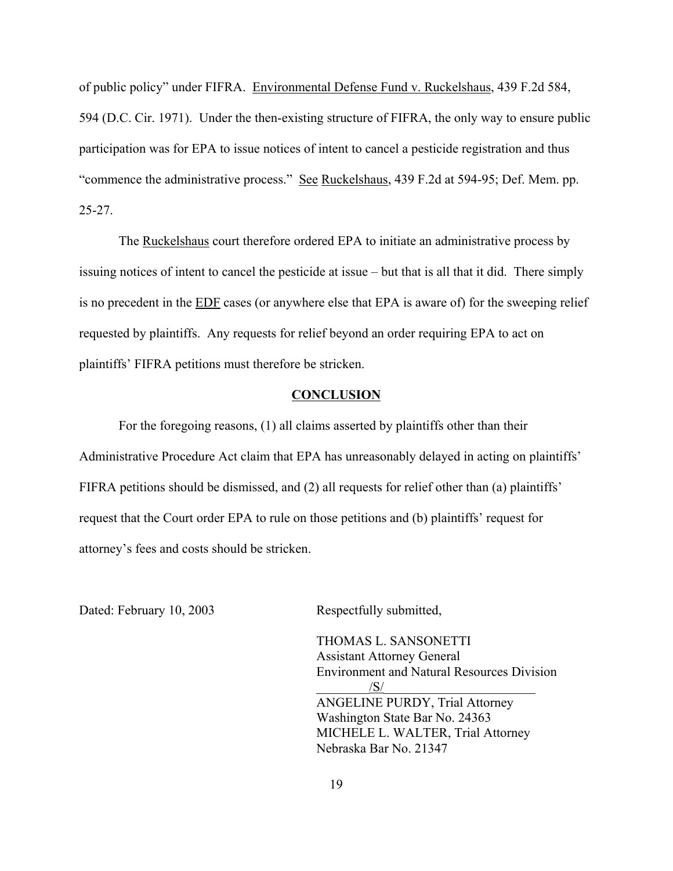of public policy" under FIFRA. Environmental Defense Fund v. Ruckelshaus, 439 F.2d 584, 594 (D.C. Cir. 1971). Under the then-existing structure of FIFRA, the only way to ensure public participation was for EPA to issue notices of intent to cancel a pesticide registration and thus "commence the administrative process." See Ruckelshaus, 439 F.2d at 594-95; Def. Mem. pp. 25-27.

The Ruckelshaus court therefore ordered EPA to initiate an administrative process by issuing notices of intent to cancel the pesticide at issue – but that is all that it did. There simply is no precedent in the EDF cases (or anywhere else that EPA is aware of) for the sweeping relief requested by plaintiffs. Any requests for relief beyond an order requiring EPA to act on plaintiffs' FIFRA petitions must therefore be stricken.

#### **CONCLUSION**

For the foregoing reasons, (1) all claims asserted by plaintiffs other than their Administrative Procedure Act claim that EPA has unreasonably delayed in acting on plaintiffs' FIFRA petitions should be dismissed, and (2) all requests for relief other than (a) plaintiffs' request that the Court order EPA to rule on those petitions and (b) plaintiffs' request for attorney's fees and costs should be stricken.

Dated: February 10, 2003 Respectfully submitted,

THOMAS L. SANSONETTI Assistant Attorney General Environment and Natural Resources Division  $\frac{1}{\sqrt{S}}$ ANGELINE PURDY, Trial Attorney Washington State Bar No. 24363 MICHELE L. WALTER, Trial Attorney Nebraska Bar No. 21347